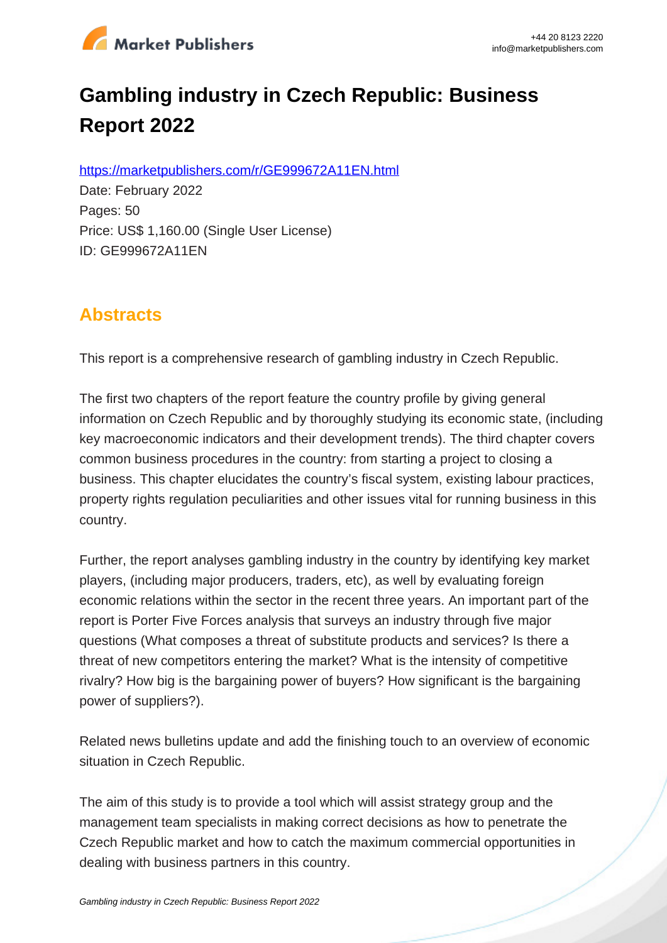

# **Gambling industry in Czech Republic: Business Report 2022**

https://marketpublishers.com/r/GE999672A11EN.html

Date: February 2022 Pages: 50 Price: US\$ 1,160.00 (Single User License) ID: GE999672A11EN

# **Abstracts**

This report is a comprehensive research of gambling industry in Czech Republic.

The first two chapters of the report feature the country profile by giving general information on Czech Republic and by thoroughly studying its economic state, (including key macroeconomic indicators and their development trends). The third chapter covers common business procedures in the country: from starting a project to closing a business. This chapter elucidates the country's fiscal system, existing labour practices, property rights regulation peculiarities and other issues vital for running business in this country.

Further, the report analyses gambling industry in the country by identifying key market players, (including major producers, traders, etc), as well by evaluating foreign economic relations within the sector in the recent three years. An important part of the report is Porter Five Forces analysis that surveys an industry through five major questions (What composes a threat of substitute products and services? Is there a threat of new competitors entering the market? What is the intensity of competitive rivalry? How big is the bargaining power of buyers? How significant is the bargaining power of suppliers?).

Related news bulletins update and add the finishing touch to an overview of economic situation in Czech Republic.

The aim of this study is to provide a tool which will assist strategy group and the management team specialists in making correct decisions as how to penetrate the Czech Republic market and how to catch the maximum commercial opportunities in dealing with business partners in this country.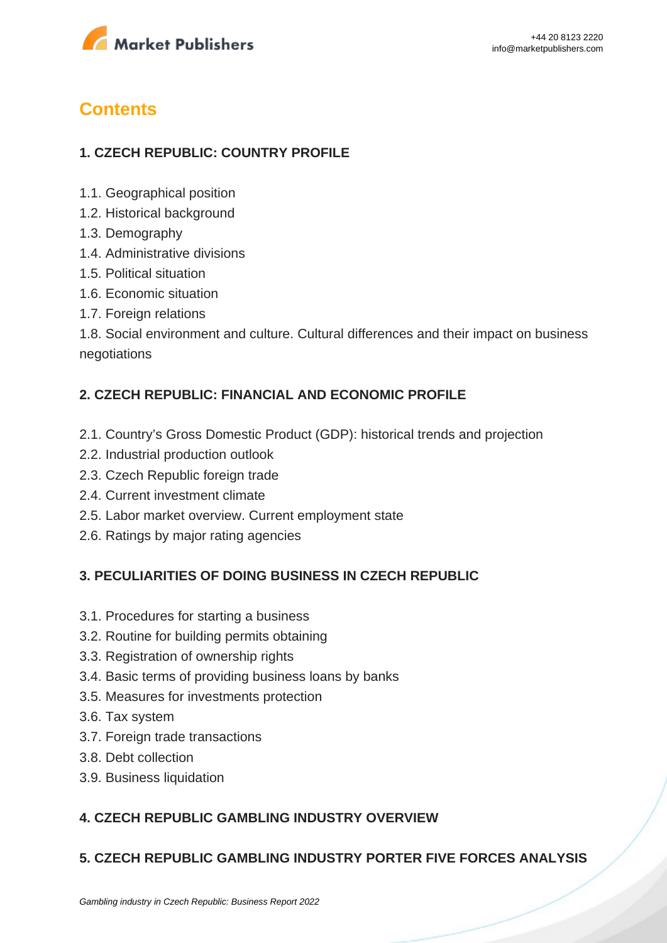

# **Contents**

## **1. CZECH REPUBLIC: COUNTRY PROFILE**

- 1.1. Geographical position
- 1.2. Historical background
- 1.3. Demography
- 1.4. Administrative divisions
- 1.5. Political situation
- 1.6. Economic situation
- 1.7. Foreign relations

1.8. Social environment and culture. Cultural differences and their impact on business negotiations

#### **2. CZECH REPUBLIC: FINANCIAL AND ECONOMIC PROFILE**

- 2.1. Country's Gross Domestic Product (GDP): historical trends and projection
- 2.2. Industrial production outlook
- 2.3. Czech Republic foreign trade
- 2.4. Current investment climate
- 2.5. Labor market overview. Current employment state
- 2.6. Ratings by major rating agencies

### **3. PECULIARITIES OF DOING BUSINESS IN CZECH REPUBLIC**

- 3.1. Procedures for starting a business
- 3.2. Routine for building permits obtaining
- 3.3. Registration of ownership rights
- 3.4. Basic terms of providing business loans by banks
- 3.5. Measures for investments protection
- 3.6. Tax system
- 3.7. Foreign trade transactions
- 3.8. Debt collection
- 3.9. Business liquidation

### **4. CZECH REPUBLIC GAMBLING INDUSTRY OVERVIEW**

### **5. CZECH REPUBLIC GAMBLING INDUSTRY PORTER FIVE FORCES ANALYSIS**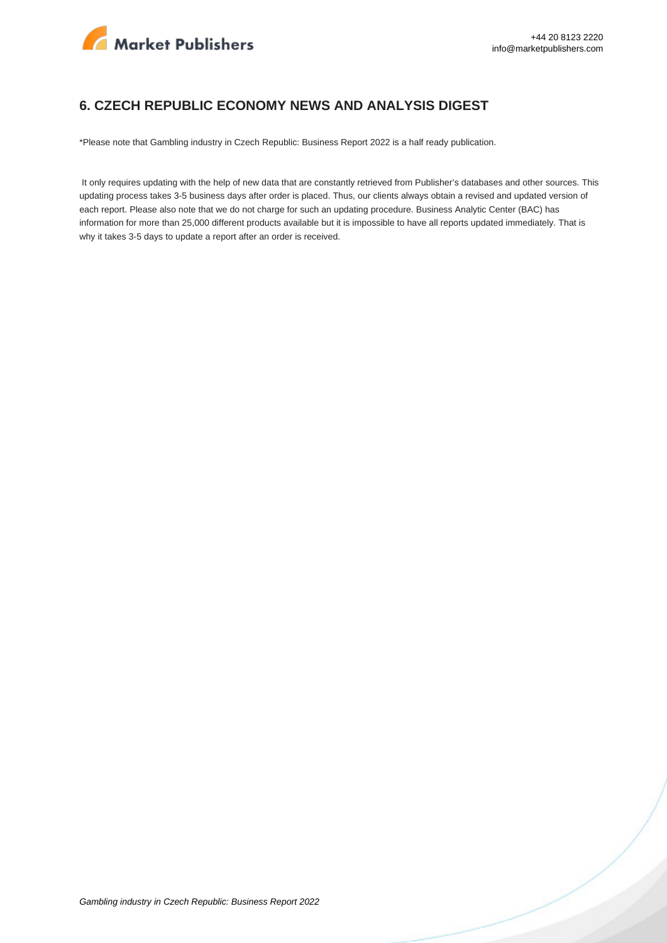

#### **6. CZECH REPUBLIC ECONOMY NEWS AND ANALYSIS DIGEST**

\*Please note that Gambling industry in Czech Republic: Business Report 2022 is a half ready publication.

 It only requires updating with the help of new data that are constantly retrieved from Publisher's databases and other sources. This updating process takes 3-5 business days after order is placed. Thus, our clients always obtain a revised and updated version of each report. Please also note that we do not charge for such an updating procedure. Business Analytic Center (BAC) has information for more than 25,000 different products available but it is impossible to have all reports updated immediately. That is why it takes 3-5 days to update a report after an order is received.